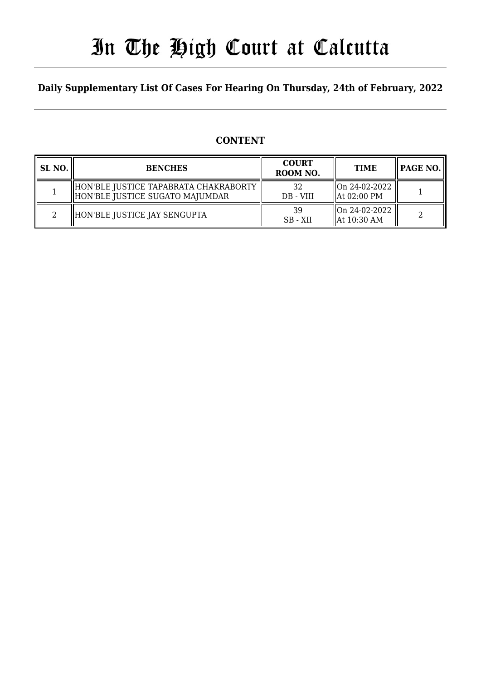# In The High Court at Calcutta

### **Daily Supplementary List Of Cases For Hearing On Thursday, 24th of February, 2022**

### **CONTENT**

| SL NO. | <b>BENCHES</b>                                                             | <b>COURT</b><br>ROOM NO. | <b>TIME</b>                               |  |
|--------|----------------------------------------------------------------------------|--------------------------|-------------------------------------------|--|
|        | HON'BLE JUSTICE TAPABRATA CHAKRABORTY<br>  HON'BLE JUSTICE SUGATO MAJUMDAR | 32<br>DB - VIII          | On 24-02-2022<br>$\parallel$ At 02:00 PM  |  |
| ി      | HON'BLE JUSTICE JAY SENGUPTA                                               | 39<br>SB - XII           | On 24-02-2022 <br>$\parallel$ At 10:30 AM |  |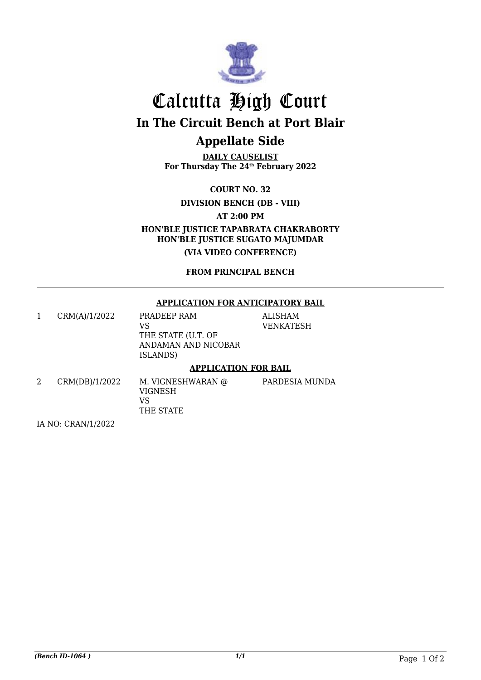

# Calcutta High Court **In The Circuit Bench at Port Blair**

## **Appellate Side**

**DAILY CAUSELIST For Thursday The 24th February 2022**

**COURT NO. 32**

**DIVISION BENCH (DB - VIII)**

**AT 2:00 PM**

**HON'BLE JUSTICE TAPABRATA CHAKRABORTY HON'BLE JUSTICE SUGATO MAJUMDAR**

**(VIA VIDEO CONFERENCE)**

**FROM PRINCIPAL BENCH**

#### **APPLICATION FOR ANTICIPATORY BAIL**

**MUNDA** 

|   | CRM(A)/1/2022  | PRADEEP RAM<br>VS<br>THE STATE (U.T. OF<br>ANDAMAN AND NICOBAR<br><b>ISLANDS</b> ) | <b>ALISHAM</b><br>VENKATESH |
|---|----------------|------------------------------------------------------------------------------------|-----------------------------|
|   |                | <b>APPLICATION FOR BAIL</b>                                                        |                             |
| 2 | CRM(DB)/1/2022 | M. VIGNESHWARAN @<br>VIGNESH<br>VS                                                 | PARDESIA M                  |

THE STATE

IA NO: CRAN/1/2022